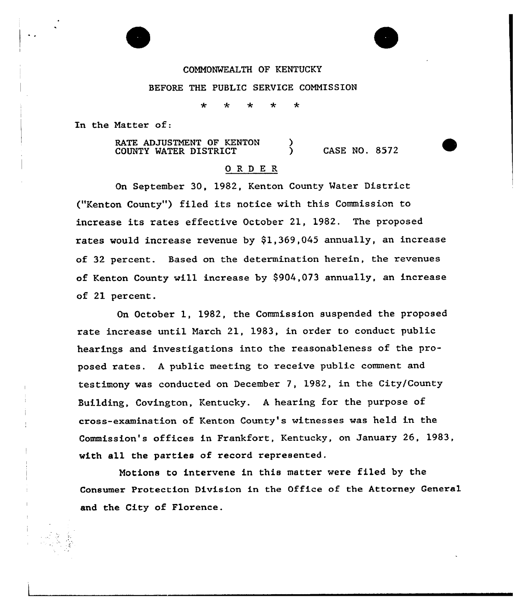# COMMONWEALTH OF KENTUCKY

# BEFORE THE PUBLIC SERVICE COMMISSION

斐 ÷

In the Natter of:

RATE ADJUSTMENT OF KENTON COUNTY WATER DISTRICT  $(8572)$ 

# 0 R <sup>D</sup> E R

On September 30, 1982, Kenton County Water District ("Kenton County") filed its notice with this Commission to increase its rates effective October 21, 1982. The proposed rates would increase revenue by \$1,369,045 annually, an increase of 32 percent. Based on the determination herein, the revenues of Kenton County will increase by \$904,073 annually, an increase of 21 percent.

On October 1, 1982, the Commission suspended the proposed rate increase until March 21, 1983, in order to conduct public hearings and investigations into the reasonableness of the proposed rates. <sup>A</sup> public meeting to receive public comment and testimony was conducted on December 7, 1982, in the City/County Building, Covington, Kentucky. <sup>A</sup> hearing for the purpose of cross-examination of Kenton County's witnesses was held in the Commission's offices in Frankfort, Kentucky, on January 26, 1983, with all the parties of record represented.

Motions to intervene in this matter were filed by the Consumer Protection Division in the Office of the Attorney General and the City of Florence.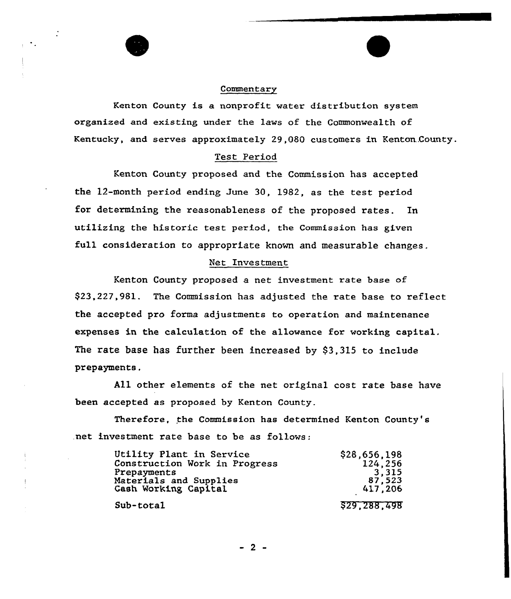#### Commentary

Kenton County is a nonprofit water distribution system organized and existing under the laws of the Commonwealth of Kentucky, and serves approximately 29,080 customers in Kenton.County.

## Test Period

Kenton County proposed and the Commission has accepted the 12-month period ending June 30, 1982, as the test period for determining the reasonableness of the proposed rates. In utilizing the historic test period, the Commission has given full consideration to appropriate known and measurable changes.

## Net Investment

Kenton County proposed a net investment rate base of \$23,227,981. The Commission has adjusted the rate base to reflect the accepted pro forma adjustments to operation and maintenance expenses in the calculation of the allowance for working capital. The rate base has further been increased by \$3,315 to include prepayments.

All other elements of the net original cost rate base have been accepted as proposed by Kenton County.

Therefore, the Commission has determined Kenton County's .net investment rate base to be as follows:

| Utility Plant in Service      | \$28,656,198 |
|-------------------------------|--------------|
| Construction Work in Progress | 124,256      |
| Prepayments                   | 3,315        |
| Materials and Supplies        | 87,523       |
| Cash Working Capital          | 417,206      |
| Sub-total                     | \$29,288,498 |

- 2 -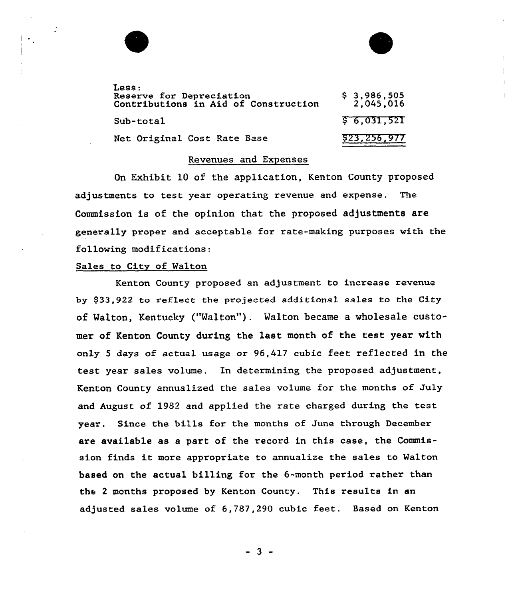| Less:<br>Reserve for Depreciation<br>Contributions in Aid of Construction | $$3,986,505$<br>2,045,016 |
|---------------------------------------------------------------------------|---------------------------|
| Sub-total                                                                 | \$6,031,521               |
| Net Original Cost Rate Base                                               | 523,256,977               |

# Revenues and Expenses

On Exhibit 10 of the application, Kenton County proposed adjustments to test year operating revenue and expense. The Commission is of the opinion that the proposed adjustments are generally proper and acceptable for rate-making purposes with the following modifications

# Sales to City of Walton

Kenton County proposed an adjustment to increase revenue by \$33,922 to reflect the projected additional sales to the City of Walton, Kentucky ("Walton"). Walton became a wholesale customer of Kenton County during the last month of the test year with only <sup>5</sup> days of actual usage or 96,417 cubic feet reflected in the test year sales volume. In determining the proposed adjustment, Kenton County annualized the sales volume for the months of July and August of 1982 and applied the rate charged during the test year. Since the bills for the months of June through December are available as a part of the record in this case, the Commission finds it more appropriate to annualize the sales to Malton based on the actual billing for the 6-month period rather than the <sup>2</sup> months proposed by Kenton County. This results in an adjusted sales volume of 6,787,290 cubic feet. Based on Kenton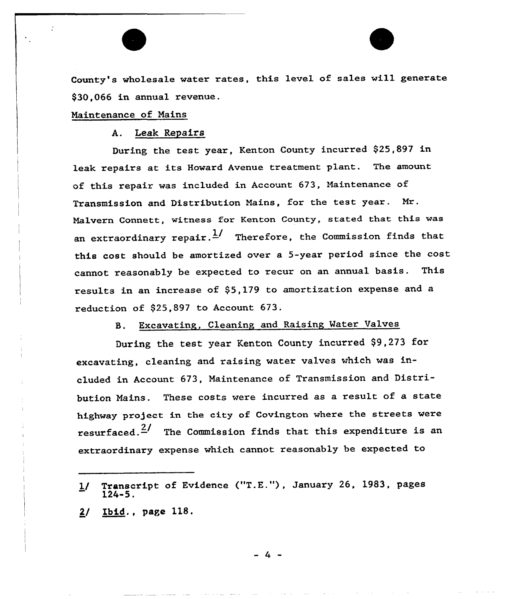County's wholesale water rates, this level of sales will generate \$30,066 in annual revenue.

## Naintenance of Nains

A. Leak Repairs

During the test year, Kenton County incurred \$25,897 in leak repairs at its Howard Avenue treatment plant. The amount of this repair was included in Account 673, Maintenance of Transmission and Distribution Mains, for the test year. Mr. Malvern Connett, witness for Kenton County, stated that this was an extraordinary repair.  $\frac{1}{2}$  Therefore, the Commission finds that this cost should be amortized ovex a 5-year period since the cost cannot reasonably be expected to recur on an annual basis. This results in an increase of \$5,179 to amortization expense and a reduction of  $$25,897$  to Account  $673$ .

S. Excavating, Cleaning and Raising Water Valves

During the test year Kenton County incurred \$9,273 fox excavating, cleaning and raising watex valves which was included in Account 673, Maintenance of Transmission and Distribution Nains. These costs were incurred as a result of a state highway project in the city of Covington where the streets were resurfaced.<sup> $2/$ </sup> The Commission finds that this expenditure is an extraordinary expense which cannot reasonably be expected to

2/ Ibid., page 118.

 $\mathcal{L}_{\mathcal{L}}$ 

<sup>1/</sup> Transcript of Evidence ("T.E."), January 26, 1983, pages 124-5.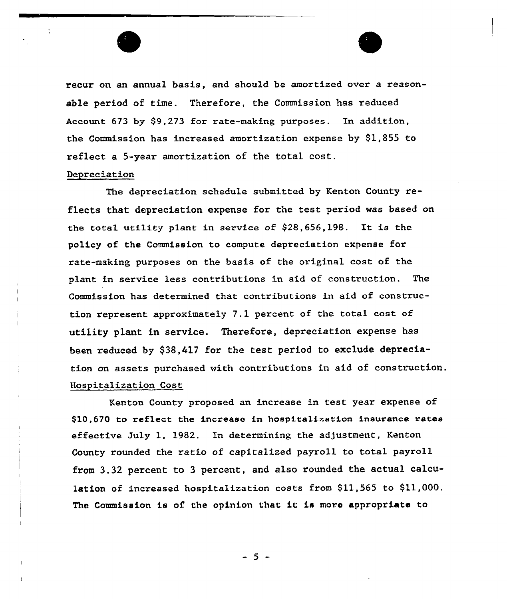

recur on an annual basis, and should be amortized over a reasonable period of time. Therefore, the Commission has reduced Account 673 by \$9,273 for rate-making purposes. In addition, the Commission has increased amortization expense by \$1,855 to reflect a 5-year amortization of the total cost.

# Depreciation

The depreciation schedule submitted by Kenton County reflects that depreciation expense for the test period was based on the total utility plant in service of \$28,656,198. It is the policy of the Commission to compute depreciation expense for rate-making purposes on the basis of the original cost of the plant in service less contributions in aid of construction. The Commission has determined that contributions in aid of construction represent approximately 7.1 percent of the total cost of utility plant in service. Therefore, depreciation expense has been reduced by \$38,417 for the test period to exclude depreciation on assets purchased with contributions in aid of construction. Hospitalization Cost

Kenton County proposed an increase in test year expense of \$10,670 to ref1ect the increase in hospitalization insurance rates effective July 1, 1982. In determining the adjustment, Kenton County rounded the ratio of capitalized payroll to total payroll from 3.32 percent to <sup>3</sup> percent, and also rounded the actual calculation of increased hospitalization costs from  $$11,565$  to  $$11,000$ . The Commission is of the opinion that it is moro appropriate to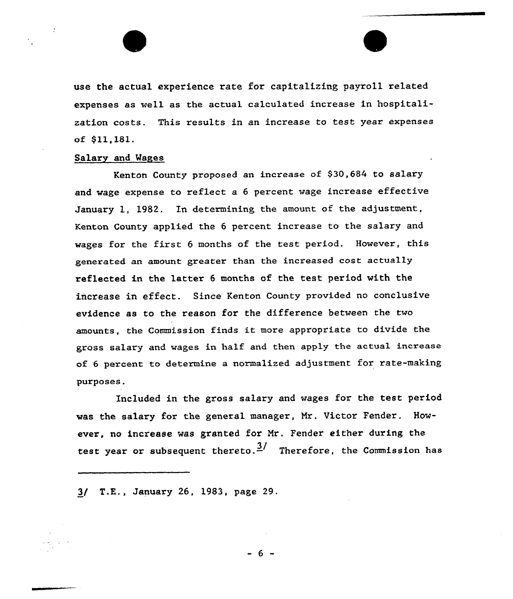use the actual experience rate for capitalizing payroll related expenses as well as the actual calculated increase in hospitalization costs. This results in an increase to test year expenses of \$11,181.

## Salary and Wages

Kenton County proposed an increase of \$30,684 to salary and wage expense to reflect a <sup>6</sup> percent wage increase effective January 1, 1982. In determining the amount of the adjustment, Kenton County applied the 6 percent increase to the salary and wages for the first <sup>6</sup> months of the test period. However, this generated an amount greater than the increased cost actually reflected in the latter <sup>6</sup> months of the test period with the increase in effect. Since Kenton County provided no conclusive evidence as to the reason for the difference between the two amounts, the Commission finds it more appropriate to divide the gross salary and wages in half and then apply the actual increase of 6 percent to determine a normalized adjustment for rate-making purposes.

Included in the gross salary and wages for the test period was the salary for the general manager, Nr. Uictor Fender. However, no increase was granted for Mr. Fender either during the test year or subsequent thereto.<sup>3</sup>/ Therefore, the Commission has

3/ T.E., January 26, 1983, page 29.

- 6 -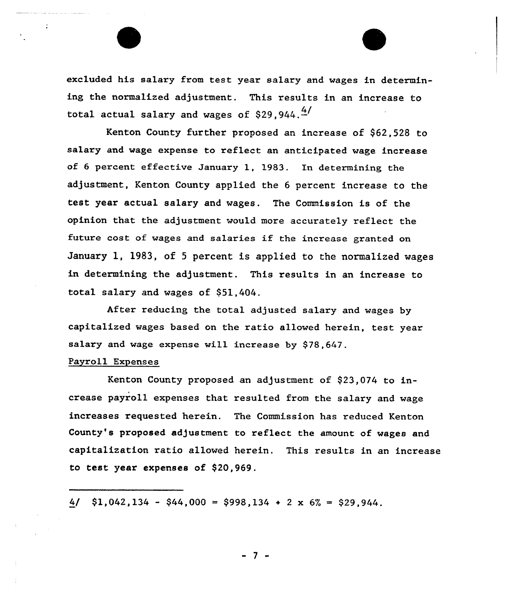excluded his salary from test year salary and wages in determining the normalized adjustment. This results in an increase to total actual salary and wages of \$29.944. $\frac{4}{1}$ 

Kenton County further proposed an increase of \$62,528 to salary and wage expense to reflect an anticipated wage increase of 6 percent effective January 1, 1983. In determining the adjustment, Kenton County applied the 6 percent increase to the test year actual salary and wages. The Commission is of the opinion that the adjustment would more accurately reflect the future cost of wages and salaries if the increase granted on January l, 1983, of <sup>5</sup> percent is applied to the normalized wages in determining the adjustment. This results in an increase to total salary and wages of \$51,404.

Aftex reducing the total adjusted salary and wages by capitalized wages based on the ratio allowed herein, test year salary and wage expense will increase by \$78,647.

## Payroll Expenses

÷

Kenton County proposed an adjustment of \$23,074 to increase payroll expenses that resulted from the salary and wage increases requested herein. The Commission has reduced Kenton County's proposed adjustment to reflect the amount of wages and capitalization ratio allowed herein. This results in an increase to test year expenses of \$20,969.

4/  $$1,042,134 - $44,000 = $998,134 + 2 \times 6\% = $29,944$ .

- 7 -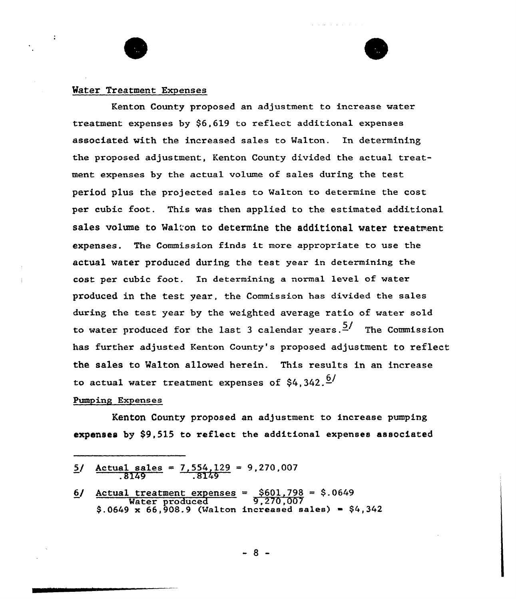# Mater Treatment Expenses

 $\ddot{\phantom{a}}$ 

Kenton County proposed an adjustment to increase water treatment expenses by \$6,619 to reflect additional expenses associated with the increased sales to Walton. In determining the proposed adjustment, Kenton County divided the actual treatment expenses by the actual volume of sales during the test period plus the projected sales to Walton to determine the cost per cubic foot. This was then applied to the estimated additional sales volume to Walton to determine the additional water treatment expenses. The Commission finds it more appropriate to use the actual water produced during the test year in determining the cost per cubic foot. In determining a normal level of water produced in the test year, the Commission has divided the sales during the test year by the weighted average ratio of water sold to water produced for the last 3 calendar years.  $\frac{5}{1}$  The Commission has further adjusted Kenton County's proposed adjustment to reflect the sales to Walton allowed herein. This results in an increase to actual water treatment expenses of  $$4.342.<sup>6</sup>$ 

### Pumping Expenses

Kenton County proposed an adjustment to increase pumping expanses by \$9,515 to reflect the additional expenses associated

| $5/$ Actual sales = $7,554,129$ = 9,270,007<br>.8149<br>.8149                      |
|------------------------------------------------------------------------------------|
| $6/$ Actual treatment expenses = $$601,798 = $.0649$<br>Water produced $9,270,007$ |
| $$.0649 \times 66,908.9$ (Walton increased sales) = \$4.342                        |
|                                                                                    |

 $-8 -$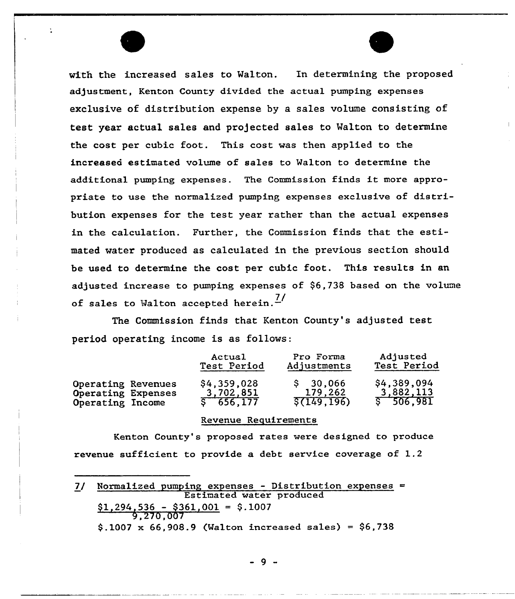with the increased sales to Walton. In determining the proposed adjustment, Kenton County divided the actual pumping expenses exclusive of distribution expense by a sales volume consisting of test year actual sales and projected sales to Walton to determine the cost per cubic foot. This cost was then applied to the increased estimated volume of sales to Walton to determine the additional pumping expenses. The Commission finds it more appropriate to use the normalized pumping expenses exclusive of distribution expenses for the test year rather than the actual expenses in the calculation. Further, the Commission finds that the estimated water produced as calculated in the previous section should be used to determine the cost per cubic foot. This results in an adjusted increase to pumping expenses of \$6,?38 based on the volume of sales to Walton accepted herein.<sup> $7/$ </sup>

The Commission finds that Kenton County's adjusted test period operating income is as follows:

|                    | Actual<br>Test Period |              | Adjusted<br>Test Period |  |  |
|--------------------|-----------------------|--------------|-------------------------|--|--|
| Operating Revenues | \$4,359,028           | \$30,066     | \$4,389,094             |  |  |
| Operating Expenses | 3,702,851             | 179,262      | 3,882,113               |  |  |
| Operating Income   | 5, 656, 177           | \$(149, 196) | \$506,981               |  |  |

# Revenue Requirements

Kenton County's proposed rates were designed to produce revenue sufficient to provide a debt service coverage of 1.2

7/ Normalized pumping expenses — Distribution expenses Estimated water produced  $$1,294,536 - $361,001 = $.1007$ 9,270,007  $$.1007 \times 66,908.9$  (Walton increased sales) = \$6,738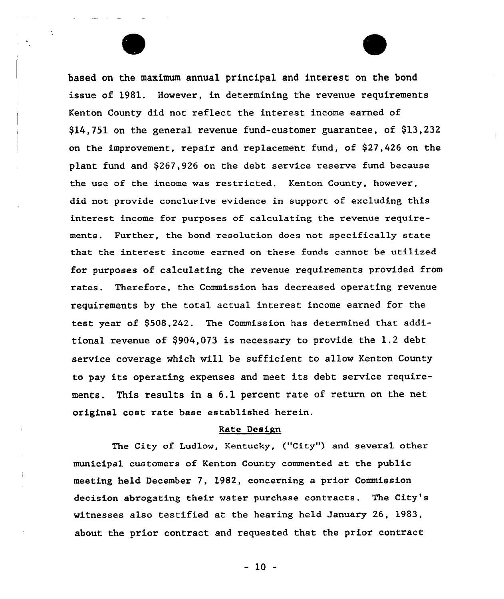based on the maximum annual principal and interest on the bond issue of 1981. However, in determining the revenue requirements Kenton County did not reflect the interest income earned of  $$14,751$  on the general revenue fund-customer guarantee, of  $$13,232$ on the improvement, repair and replacement fund, of  $$27,426$  on the plant fund and \$267,926 on the debt service reserve fund because the use of the income was restricted. Kenton County, however, did not provide conclusive evidence in support of excluding this interest income for purposes of calculating the revenue requirements. Further, the bond resolution does not specifically state that the interest income earned on these funds cannot be utilized for purposes of calculating the revenue requirements provided from rates. Therefore, the Commission has decreased operating revenue requirements by the total actual interest income earned for the test year of 9508,242. The Commission has determined that additional revenue of \$904,073 is necessary to provide the 1.2 debt service coverage which will be sufficient to allow Kenton County to pay its operating expenses and meet its debt service requirements. This results in a 6.1 percent rate of return on the net original cost rate base established herein.

### Rate Design

The City of Ludlow, Kentucky, ("City") and several other municipal customers of Kenton County commented at the public meeting held December 7, 1982, concerning a prior Commission decision abrogating their water purchase contracts. The City's witnesses also testified at the hearing held January 26, 1983, about the prior contract and requested that the prior contract

 $-10 -$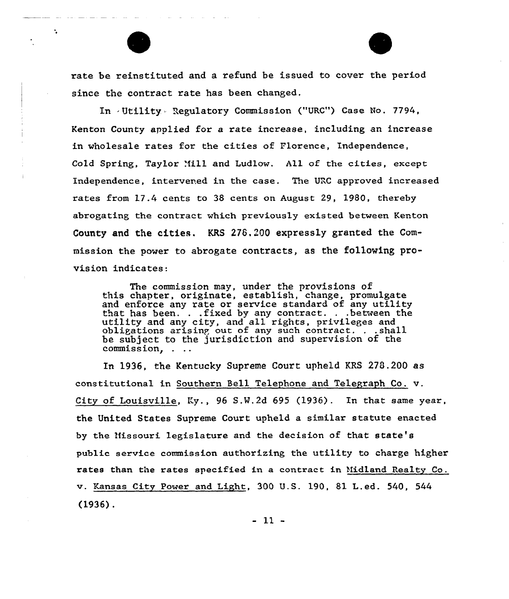rate be reinstituted and a refund be issued to cover the period since the contract rate has been changed.

 $\mathbf{r}_\mathrm{a}$ 

In . Utility Regulatory Commission ("URC") Case No. 7794, Kenton County applied for a rate increase, including an increase in wholesale rates for the cities of florence, Independence, Cold Spring, Taylor Mill and Ludlow. All of the cities, except Independence, intervened in the case. The URC approved increased rates from 17.4 cents to 38 cents on August 29, 1980, thereby abrogating the contract which previously existed between Kenton County and the cities. KRS 276,200 expressly granted the Commission the power to abrogate contracts, as the following provision indicates:

The commission may, under the provisions of this chapter, originate, establish, change, promulgat and enforce any rate or service standard of any utility that has been. . .fixed by any contract. . .between the utility and any city, and all rights, privileges and obligations arisinp out of any such contract. . .shall be subject to the jurisdiction and supervision of the commission. . . .

In 1936, the Kentucky Supreme Court upheld KRS 278.200 as constitutional in Southern Bell Telephone and, Telegraph Co. v. City of Louisville, Ky., 96 S.N.2d 695 (1936). In that same year, the United States Supreme Court upheld a similar statute enacted by the Missouri legislature and the decision of that state's public sexvice commission authorizing the utility to charge higher rates than the rates specified in a contract in Midland Realty Co. v. Kansas City Power and Light, 300 U.S. 190, 81 L.ed. 540, 544 (1936).

 $-11 -$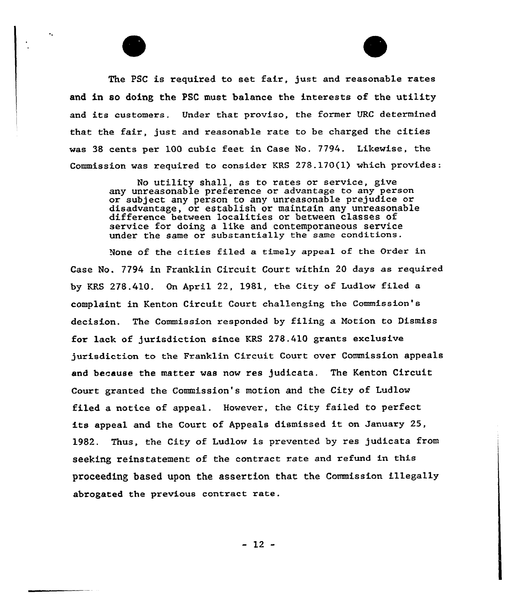The PSC is required to set fair, just and reasonable rates and in so doing the PSC must balance the interests of the utility and its customers. Under that proviso, the former URC determined that the fair, just and reasonable rate to be charged the cities was 38 cents per 100 cubic feet in Case No. 7?94. Likewise, the Commission was xequixed to consider KRS 278.170(1) which provides:

> No utility shall, as to rates or service, give any unreasonable preference or advantage to any person or subject any person to any unreasonable prejudice or disadvantage, or establish or maintain any unreasonable difference between localities or between classes of service for doing a like and contemporaneous service under the same ox substantially the same conditions.

None of the cities filed a timely appeal of the Order in Case No. 7794 in Franklin Circuit Court within 20 days as required by KRS 278.410. On April 22, 1981, the City of Ludlow filed a complaint in Kenton Circuit Court challenging the Commission's decision. The Commission responded by filing a Notion to Dismiss for lack of jurisdiction since KRS 278.410 grants exclusive jux'isdiction to the Franklin Circuit Court over Commission appeals end because the matter was now res judicata. The Kenton Circuit Court granted the Commission's motion and the City of Ludlow filed a notice of appeal. However, the City failed to perfect its appeal and the Court of Appeals dismissed it on January 25, 1982. Thus, the City of Ludlow is prevented by res judicata from seeking reinstatement of the contract rate and refund in this proceeding based upon the assertion that the Commission illegally abrogated the pxevious contract rate.

 $-12 -$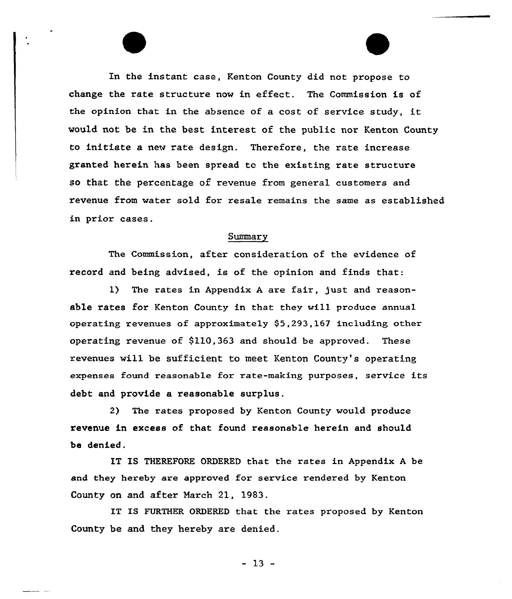In the instant case, Kenton County did not propose to change the rate structure now in effect. The Commission is of the opinion that in the absence of <sup>a</sup> cost of service study, it would not be in the best interest of the public nor Kenton County to initiate a new rate design. Therefore, the rate increase granted herein has been spread tc the existing rate structure so that the percentage of revenue from general customers and revenue from water sold for resale remains the same as established in prior cases.

# Summary

The Commission, after consideration of the evidence of record and being advised, is of the opinion and finds that:

1) The rates in Appendix <sup>A</sup> are fair, just and reasonable rates for Kenton County in that they will produce annua1 operating revenues of approximately \$5,293,167 including other operating revenue of  $$110,363$  and should be approved. These revenues will be sufficient to meet Kenton County's operating expenses found reasonable for rate-making purposes, service its debt and provide a reasonable surplus.

2) The rates proposed by Kenton County would produce revenue in excess of that found reasonable herein and should be denied.

IT IS THEREFORE ORDERED that the rates in Appendix <sup>A</sup> be and they hereby are approved for service rendered by Kenton County on and after March 21, 1983.

IT IS FURTHER ORDERED that the rates proposed by Kenton County be and they hereby are denied.

 $-13 -$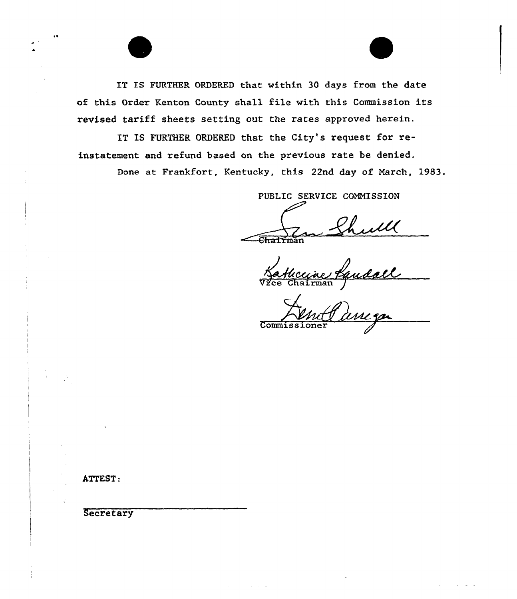IT IS FURTHER ORDERED that within 30 days from the date of this Order Kenton County shall file with this Commission its revised tariff sheets setting out the rates approved herein.

IT IS FURTHER ORDERED that the City's request for reinstatement and refund based on the previous rate be denied. Done at Frankfort, Kentucky, this 22nd day of Narch, 1983.

PUBLIC SERVICE COMMISSION

caine Vice Chairman

 $Commis$ 

ATTEST:

Secretary